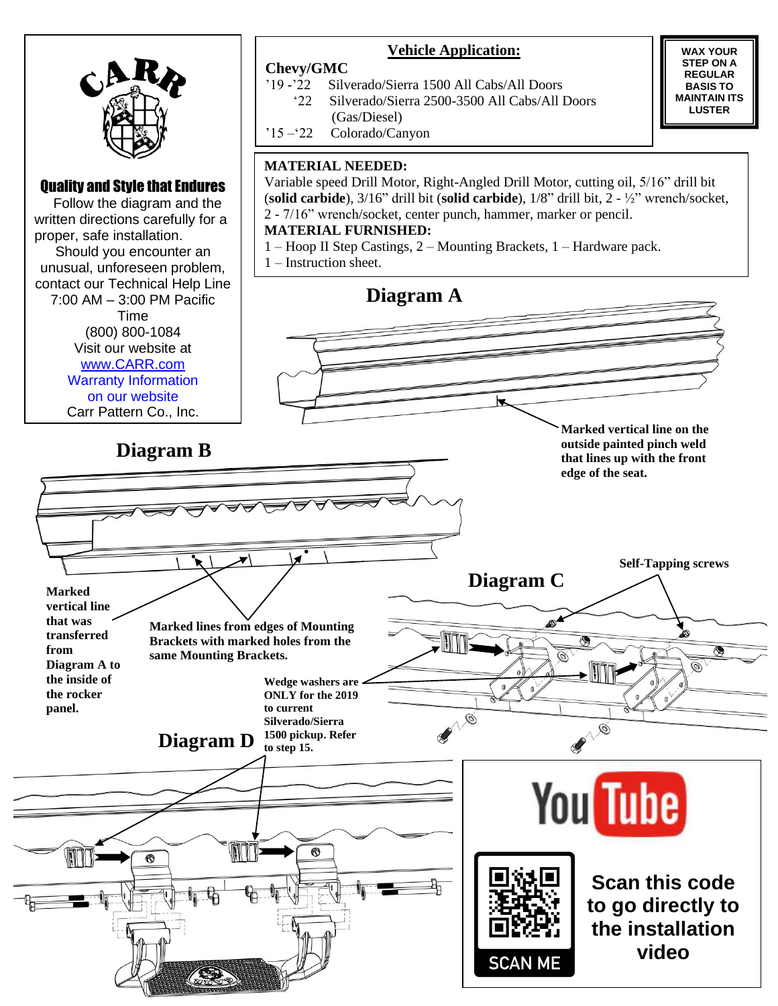